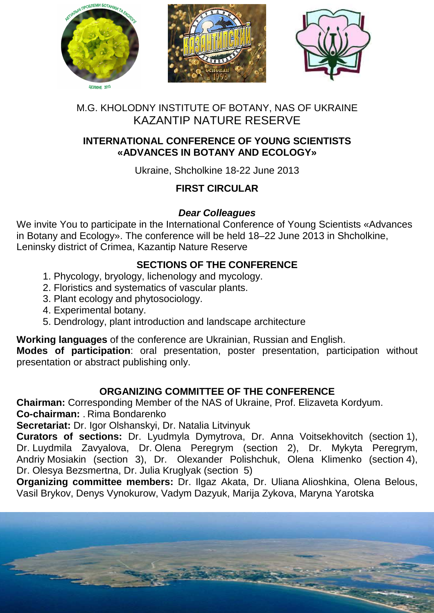

# M.G. KHOLODNY INSTITUTE OF BOTANY, NAS OF UKRAINE KAZANTIP NATURE RESERVE

## **INTERNATIONAL CONFERENCE OF YOUNG SCIENTISTS «ADVANCES IN BOTANY AND ECOLOGY»**

Ukraine, Shcholkine 18-22 June 2013

# **FIRST CIRCULAR**

### **Dear Colleagues**

We invite You to participate in the International Conference of Young Scientists «Advances in Botany and Ecology». The conference will be held 18–22 June 2013 in Shcholkine, Leninsky district of Crimea, Kazantip Nature Reserve

## **SECTIONS OF THE CONFERENCE**

- 1. Phycology, bryology, lichenology and mycology.
- 2. Floristics and systematics of vascular plants.
- 3. Plant ecology and phytosociology.
- 4. Experimental botany.
- 5. Dendrology, plant introduction and landscape architecture

**Working languages** of the conference are Ukrainian, Russian and English.

**Modes of participation**: oral presentation, poster presentation, participation without presentation or abstract publishing only.

# **ORGANIZING COMMITTEE OF THE CONFERENCE**

**Chairman:** Corresponding Member of the NAS of Ukraine, Prof. Elizaveta Kordyum. **Co-chairman:** . Rima Bondarenko

**Secretariat:** Dr. Igor Olshanskyi, Dr. Natalia Litvinyuk

**Curators of sections:** Dr. Lyudmyla Dymytrova, Dr. Anna Voitsekhovitch (section 1), Dr. Luydmila Zavyalova, Dr. Olena Peregrym (section 2), Dr. Mykyta Peregrym, Andriy Mosiakin (section 3), Dr. Olexander Polishchuk, Olena Klimenko (section 4), Dr. Olesya Bezsmertna, Dr. Julia Kruglyak (section 5)

**Organizing committee members:** Dr. Ilgaz Akata, Dr. Uliana Alioshkina, Olena Belous, Vasil Brykov, Denys Vynokurow, Vadym Dazyuk, Marija Zykova, Maryna Yarotska

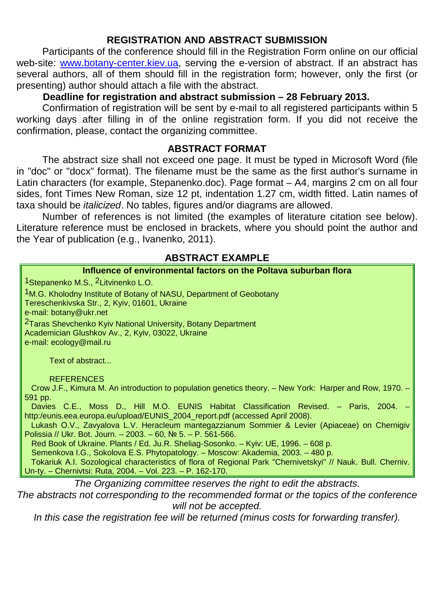### **REGISTRATION AND ABSTRACT SUBMISSION**

Participants of the conference should fill in the Registration Form online on our official web-site: www.botany-center.kiev.ua, serving the e-version of abstract. If an abstract has several authors, all of them should fill in the registration form; however, only the first (or presenting) author should attach a file with the abstract.

## **Deadline for registration and abstract submission – 28 February 2013.**

Confirmation of registration will be sent by e-mail to all registered participants within 5 working days after filling in of the online registration form. If you did not receive the confirmation, please, contact the organizing committee.

#### **ABSTRACT FORMAT**

The abstract size shall not exceed one page. It must be typed in Microsoft Word (file in "doc" or "docx" format). The filename must be the same as the first author's surname in Latin characters (for example, Stepanenko.doc). Page format - A4, margins 2 cm on all four sides, font Times New Roman, size 12 pt, indentation 1.27 cm, width fitted. Latin names of taxa should be italicized. No tables, figures and/or diagrams are allowed.

Number of references is not limited (the examples of literature citation see below). Literature reference must be enclosed in brackets, where you should point the author and the Year of publication (e.g., Ivanenko, 2011).

### **ABSTRACT EXAMPLE**

| Influence of environmental factors on the Poltava suburban flora                                                                                                                               |  |  |
|------------------------------------------------------------------------------------------------------------------------------------------------------------------------------------------------|--|--|
| <sup>1</sup> Stepanenko M.S., <sup>2</sup> Litvinenko L.O.                                                                                                                                     |  |  |
| <sup>1</sup> M.G. Kholodny Institute of Botany of NASU, Department of Geobotany                                                                                                                |  |  |
| Tereschenkivska Str., 2, Kyiv, 01601, Ukraine                                                                                                                                                  |  |  |
| e-mail: botany@ukr.net                                                                                                                                                                         |  |  |
| <sup>2</sup> Taras Shevchenko Kyiv National University, Botany Department<br>Academician Glushkov Av., 2, Kyiv, 03022, Ukraine                                                                 |  |  |
| e-mail: ecology@mail.ru                                                                                                                                                                        |  |  |
|                                                                                                                                                                                                |  |  |
| Text of abstract                                                                                                                                                                               |  |  |
| <b>REFERENCES</b>                                                                                                                                                                              |  |  |
| Crow J.F., Kimura M. An introduction to population genetics theory. - New York: Harper and Row, 1970. -                                                                                        |  |  |
| 591 pp.                                                                                                                                                                                        |  |  |
| Davies C.E., Moss D., Hill M.O. EUNIS Habitat Classification Revised. - Paris, 2004.<br>http:/eunis.eea.europa.eu/upload/EUNIS_2004_report.pdf (accessed April 2008).                          |  |  |
| Lukash O.V., Zavyalova L.V. Heracleum mantegazzianum Sommier & Levier (Apiaceae) on Chernigiv                                                                                                  |  |  |
| Polissia // Ukr. Bot. Journ. - 2003. - 60, № 5. - P. 561-566.                                                                                                                                  |  |  |
| Red Book of Ukraine. Plants / Ed. Ju.R. Sheliag-Sosonko. - Kyiv: UE, 1996. - 608 p.                                                                                                            |  |  |
| Semenkova I.G., Sokolova E.S. Phytopatology. – Moscow: Akademia, 2003. – 480 p.<br>Tokariuk A.I. Sozological characteristics of flora of Regional Park "Chernivetskyi" // Nauk. Bull. Cherniv. |  |  |
| Un-ty. - Chernivtsi: Ruta, 2004. - Vol. 223. - P. 162-170.                                                                                                                                     |  |  |
| The Organizing committee reserves the right to edit the abstracts.                                                                                                                             |  |  |
| The abstracts not corresponding to the recommended format or the topics of the conference                                                                                                      |  |  |
| will not be accepted.                                                                                                                                                                          |  |  |

In this case the registration fee will be returned (minus costs for forwarding transfer).